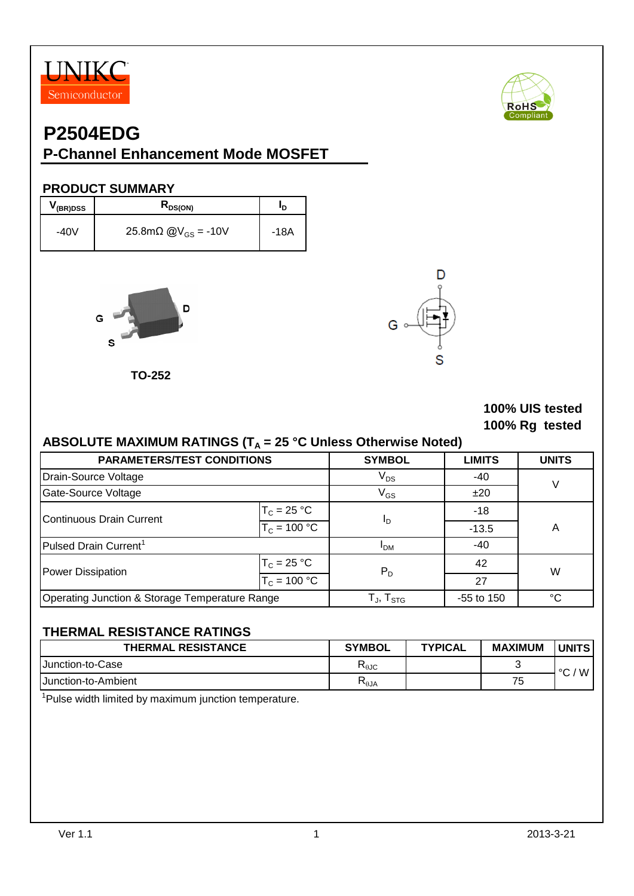



# **P2504EDG**

## **P-Channel Enhancement Mode MOSFET**

#### **PRODUCT SUMMARY**

| V(BR)DSS | $R_{DS(ON)}$            | חי   |
|----------|-------------------------|------|
| -40V     | 25.8mΩ $@V_{GS} = -10V$ | -18A |



**TO-252**



#### **100% UIS tested 100% Rg tested**

#### ABSOLUTE MAXIMUM RATINGS (T<sub>A</sub> = 25 °C Unless Otherwise Noted)

| <b>PARAMETERS/TEST CONDITIONS</b>              |                                                      | <b>SYMBOL</b>  | <b>LIMITS</b> | <b>UNITS</b> |  |
|------------------------------------------------|------------------------------------------------------|----------------|---------------|--------------|--|
| Drain-Source Voltage                           | $V_{DS}$                                             | -40            | $\vee$        |              |  |
| Gate-Source Voltage                            |                                                      | $V_{GS}$       | ±20           |              |  |
| Continuous Drain Current                       | $T_c = 25 °C$                                        | <sup>I</sup> D | $-18$         |              |  |
|                                                | $T_c = 100 °C$                                       |                | $-13.5$       | Α            |  |
| Pulsed Drain Current <sup>1</sup>              | <b>IDM</b>                                           | -40            |               |              |  |
| Power Dissipation                              | $T_c = 25 °C$                                        | $P_D$          | 42            | W            |  |
|                                                | $T_c = 100 °C$                                       |                | 27            |              |  |
| Operating Junction & Storage Temperature Range | $\mathsf{T}_{\mathsf{J}}, \mathsf{T}_{\mathsf{STG}}$ | $-55$ to 150   | °C            |              |  |

#### **THERMAL RESISTANCE RATINGS**

| <b>THERMAL RESISTANCE</b>   | <b>SYMBOL</b>                             | <b>TYPICAL</b> | <b>MAXIMUM</b> | <b>UNITS</b> |
|-----------------------------|-------------------------------------------|----------------|----------------|--------------|
| <b>IJunction-to-Case</b>    | $\mathsf{R}_{\theta\mathsf{J}\mathsf{C}}$ |                |                | W<br>$\circ$ |
| <b>IJunction-to-Ambient</b> | $R_{\theta$ JA                            |                | 75             |              |

<sup>1</sup>Pulse width limited by maximum junction temperature.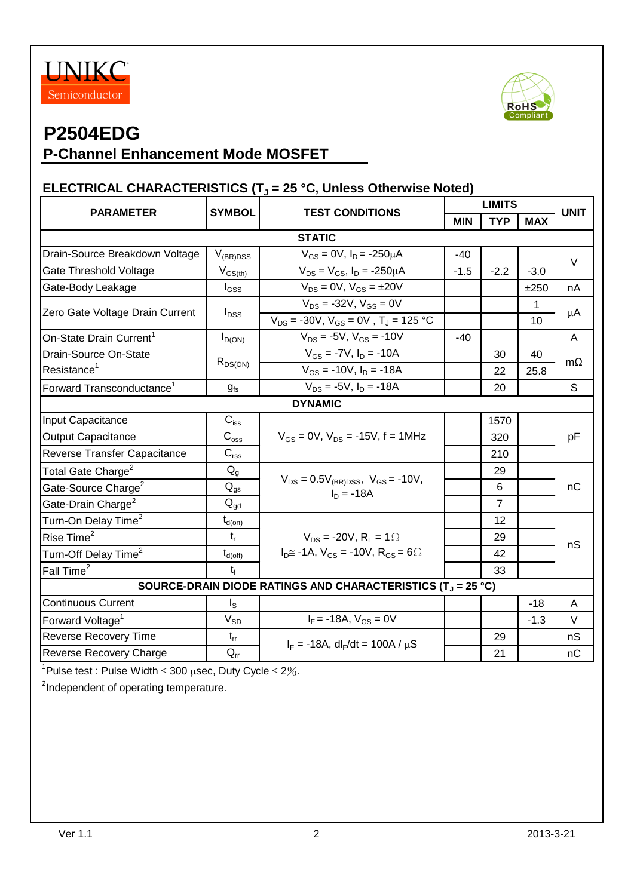



# **P2504EDG**

## **P-Channel Enhancement Mode MOSFET**

## **ELECTRICAL CHARACTERISTICS (T<sup>J</sup> = 25 °C, Unless Otherwise Noted)**

| <b>TYP</b><br><b>MIN</b><br><b>MAX</b><br><b>STATIC</b><br>Drain-Source Breakdown Voltage<br>$V_{\rm (BR)DSS}$<br>$V_{GS} = 0V$ , $I_D = -250 \mu A$<br>$-40$<br>$V_{DS} = V_{GS}$ , $I_D = -250 \mu A$<br>Gate Threshold Voltage<br>$V_{GS(th)}$<br>$-2.2$<br>$-1.5$<br>$-3.0$<br>$V_{DS} = 0V$ , $V_{GS} = \pm 20V$<br>Gate-Body Leakage<br>$I_{GSS}$<br>±250<br>$V_{DS}$ = -32V, $V_{GS}$ = 0V<br>1<br>Zero Gate Voltage Drain Current<br>$I_{DSS}$<br>$V_{DS}$ = -30V, $V_{GS}$ = 0V, $T_J$ = 125 °C<br>10<br>$V_{DS}$ = -5V, $V_{GS}$ = -10V<br>On-State Drain Current <sup>1</sup><br>$-40$<br>$I_{D(ON)}$<br>$V_{GS}$ = -7V, $I_D$ = -10A<br>Drain-Source On-State<br>30<br>40<br>$R_{DS(ON)}$<br>Resistance <sup>1</sup><br>$V_{GS}$ = -10V, $I_D$ = -18A<br>22<br>25.8<br>$V_{DS} = -5V$ , $I_D = -18A$<br>Forward Transconductance <sup>1</sup><br>20<br>$g_{fs}$<br><b>DYNAMIC</b><br>$C_{\hbox{\tiny ISS}}$<br>Input Capacitance<br>1570<br><b>Output Capacitance</b><br>$C_{\rm oss}$<br>$V_{GS}$ = 0V, $V_{DS}$ = -15V, f = 1MHz<br>320<br>$\mathbf{C}_{\text{rss}}$<br>Reverse Transfer Capacitance<br>210<br>Total Gate Charge <sup>2</sup><br>$Q_{q}$<br>29<br>$V_{DS} = 0.5V_{(BR)DSS}$ , $V_{GS} = -10V$ ,<br>$\mathsf{Q}_{\mathsf{gs}}$<br>Gate-Source Charge <sup>2</sup><br>6<br>$I_D = -18A$<br>Gate-Drain Charge <sup>2</sup><br>$Q_{\text{gd}}$<br>$\overline{7}$<br>Turn-On Delay Time <sup>2</sup><br>12<br>$t_{d(on)}$<br>Rise Time <sup>2</sup><br>$t_{r}$<br>29<br>$V_{DS}$ = -20V, R <sub>1</sub> = 1 $\Omega$<br>$I_{D} \cong -1A$ , $V_{GS} = -10V$ , $R_{GS} = 6 \Omega$<br>Turn-Off Delay Time <sup>2</sup><br>$t_{d(\text{off})}$<br>42<br>Fall Time <sup>2</sup><br>$t_{f}$<br>33 | <b>UNIT</b> | <b>LIMITS</b> | <b>TEST CONDITIONS</b> | <b>SYMBOL</b> |                  |
|------------------------------------------------------------------------------------------------------------------------------------------------------------------------------------------------------------------------------------------------------------------------------------------------------------------------------------------------------------------------------------------------------------------------------------------------------------------------------------------------------------------------------------------------------------------------------------------------------------------------------------------------------------------------------------------------------------------------------------------------------------------------------------------------------------------------------------------------------------------------------------------------------------------------------------------------------------------------------------------------------------------------------------------------------------------------------------------------------------------------------------------------------------------------------------------------------------------------------------------------------------------------------------------------------------------------------------------------------------------------------------------------------------------------------------------------------------------------------------------------------------------------------------------------------------------------------------------------------------------------------------------------------------------------------------------------------------------------|-------------|---------------|------------------------|---------------|------------------|
|                                                                                                                                                                                                                                                                                                                                                                                                                                                                                                                                                                                                                                                                                                                                                                                                                                                                                                                                                                                                                                                                                                                                                                                                                                                                                                                                                                                                                                                                                                                                                                                                                                                                                                                        |             |               |                        |               | <b>PARAMETER</b> |
|                                                                                                                                                                                                                                                                                                                                                                                                                                                                                                                                                                                                                                                                                                                                                                                                                                                                                                                                                                                                                                                                                                                                                                                                                                                                                                                                                                                                                                                                                                                                                                                                                                                                                                                        |             |               |                        |               |                  |
|                                                                                                                                                                                                                                                                                                                                                                                                                                                                                                                                                                                                                                                                                                                                                                                                                                                                                                                                                                                                                                                                                                                                                                                                                                                                                                                                                                                                                                                                                                                                                                                                                                                                                                                        | V           |               |                        |               |                  |
|                                                                                                                                                                                                                                                                                                                                                                                                                                                                                                                                                                                                                                                                                                                                                                                                                                                                                                                                                                                                                                                                                                                                                                                                                                                                                                                                                                                                                                                                                                                                                                                                                                                                                                                        |             |               |                        |               |                  |
|                                                                                                                                                                                                                                                                                                                                                                                                                                                                                                                                                                                                                                                                                                                                                                                                                                                                                                                                                                                                                                                                                                                                                                                                                                                                                                                                                                                                                                                                                                                                                                                                                                                                                                                        | nA          |               |                        |               |                  |
|                                                                                                                                                                                                                                                                                                                                                                                                                                                                                                                                                                                                                                                                                                                                                                                                                                                                                                                                                                                                                                                                                                                                                                                                                                                                                                                                                                                                                                                                                                                                                                                                                                                                                                                        | μA          |               |                        |               |                  |
|                                                                                                                                                                                                                                                                                                                                                                                                                                                                                                                                                                                                                                                                                                                                                                                                                                                                                                                                                                                                                                                                                                                                                                                                                                                                                                                                                                                                                                                                                                                                                                                                                                                                                                                        | A           |               |                        |               |                  |
|                                                                                                                                                                                                                                                                                                                                                                                                                                                                                                                                                                                                                                                                                                                                                                                                                                                                                                                                                                                                                                                                                                                                                                                                                                                                                                                                                                                                                                                                                                                                                                                                                                                                                                                        |             |               |                        |               |                  |
|                                                                                                                                                                                                                                                                                                                                                                                                                                                                                                                                                                                                                                                                                                                                                                                                                                                                                                                                                                                                                                                                                                                                                                                                                                                                                                                                                                                                                                                                                                                                                                                                                                                                                                                        | $m\Omega$   |               |                        |               |                  |
|                                                                                                                                                                                                                                                                                                                                                                                                                                                                                                                                                                                                                                                                                                                                                                                                                                                                                                                                                                                                                                                                                                                                                                                                                                                                                                                                                                                                                                                                                                                                                                                                                                                                                                                        | S           |               |                        |               |                  |
|                                                                                                                                                                                                                                                                                                                                                                                                                                                                                                                                                                                                                                                                                                                                                                                                                                                                                                                                                                                                                                                                                                                                                                                                                                                                                                                                                                                                                                                                                                                                                                                                                                                                                                                        |             |               |                        |               |                  |
|                                                                                                                                                                                                                                                                                                                                                                                                                                                                                                                                                                                                                                                                                                                                                                                                                                                                                                                                                                                                                                                                                                                                                                                                                                                                                                                                                                                                                                                                                                                                                                                                                                                                                                                        |             |               |                        |               |                  |
|                                                                                                                                                                                                                                                                                                                                                                                                                                                                                                                                                                                                                                                                                                                                                                                                                                                                                                                                                                                                                                                                                                                                                                                                                                                                                                                                                                                                                                                                                                                                                                                                                                                                                                                        | pF          |               |                        |               |                  |
|                                                                                                                                                                                                                                                                                                                                                                                                                                                                                                                                                                                                                                                                                                                                                                                                                                                                                                                                                                                                                                                                                                                                                                                                                                                                                                                                                                                                                                                                                                                                                                                                                                                                                                                        |             |               |                        |               |                  |
|                                                                                                                                                                                                                                                                                                                                                                                                                                                                                                                                                                                                                                                                                                                                                                                                                                                                                                                                                                                                                                                                                                                                                                                                                                                                                                                                                                                                                                                                                                                                                                                                                                                                                                                        |             |               |                        |               |                  |
|                                                                                                                                                                                                                                                                                                                                                                                                                                                                                                                                                                                                                                                                                                                                                                                                                                                                                                                                                                                                                                                                                                                                                                                                                                                                                                                                                                                                                                                                                                                                                                                                                                                                                                                        | nC          |               |                        |               |                  |
|                                                                                                                                                                                                                                                                                                                                                                                                                                                                                                                                                                                                                                                                                                                                                                                                                                                                                                                                                                                                                                                                                                                                                                                                                                                                                                                                                                                                                                                                                                                                                                                                                                                                                                                        |             |               |                        |               |                  |
|                                                                                                                                                                                                                                                                                                                                                                                                                                                                                                                                                                                                                                                                                                                                                                                                                                                                                                                                                                                                                                                                                                                                                                                                                                                                                                                                                                                                                                                                                                                                                                                                                                                                                                                        |             |               |                        |               |                  |
|                                                                                                                                                                                                                                                                                                                                                                                                                                                                                                                                                                                                                                                                                                                                                                                                                                                                                                                                                                                                                                                                                                                                                                                                                                                                                                                                                                                                                                                                                                                                                                                                                                                                                                                        | nS          |               |                        |               |                  |
|                                                                                                                                                                                                                                                                                                                                                                                                                                                                                                                                                                                                                                                                                                                                                                                                                                                                                                                                                                                                                                                                                                                                                                                                                                                                                                                                                                                                                                                                                                                                                                                                                                                                                                                        |             |               |                        |               |                  |
|                                                                                                                                                                                                                                                                                                                                                                                                                                                                                                                                                                                                                                                                                                                                                                                                                                                                                                                                                                                                                                                                                                                                                                                                                                                                                                                                                                                                                                                                                                                                                                                                                                                                                                                        |             |               |                        |               |                  |
| SOURCE-DRAIN DIODE RATINGS AND CHARACTERISTICS (T <sub>J</sub> = 25 °C)                                                                                                                                                                                                                                                                                                                                                                                                                                                                                                                                                                                                                                                                                                                                                                                                                                                                                                                                                                                                                                                                                                                                                                                                                                                                                                                                                                                                                                                                                                                                                                                                                                                |             |               |                        |               |                  |
| <b>Continuous Current</b><br>$I_{\rm S}$<br>$-18$                                                                                                                                                                                                                                                                                                                                                                                                                                                                                                                                                                                                                                                                                                                                                                                                                                                                                                                                                                                                                                                                                                                                                                                                                                                                                                                                                                                                                                                                                                                                                                                                                                                                      | A           |               |                        |               |                  |
| $I_F = -18A, V_{GS} = 0V$<br>$V_{SD}$<br>Forward Voltage <sup>1</sup><br>$-1.3$                                                                                                                                                                                                                                                                                                                                                                                                                                                                                                                                                                                                                                                                                                                                                                                                                                                                                                                                                                                                                                                                                                                                                                                                                                                                                                                                                                                                                                                                                                                                                                                                                                        | $\vee$      |               |                        |               |                  |
| Reverse Recovery Time<br>29<br>$t_{rr}$<br>$I_F = -18A$ , dl <sub>F</sub> /dt = 100A / $\mu$ S                                                                                                                                                                                                                                                                                                                                                                                                                                                                                                                                                                                                                                                                                                                                                                                                                                                                                                                                                                                                                                                                                                                                                                                                                                                                                                                                                                                                                                                                                                                                                                                                                         | nS          |               |                        |               |                  |
| Reverse Recovery Charge<br>$Q_{rr}$<br>21                                                                                                                                                                                                                                                                                                                                                                                                                                                                                                                                                                                                                                                                                                                                                                                                                                                                                                                                                                                                                                                                                                                                                                                                                                                                                                                                                                                                                                                                                                                                                                                                                                                                              | nC          |               |                        |               |                  |

'Pulse test : Pulse Width  $\leq 300$   $\mu$ sec, Duty Cycle  $\leq 2\%$ .

<sup>2</sup>Independent of operating temperature.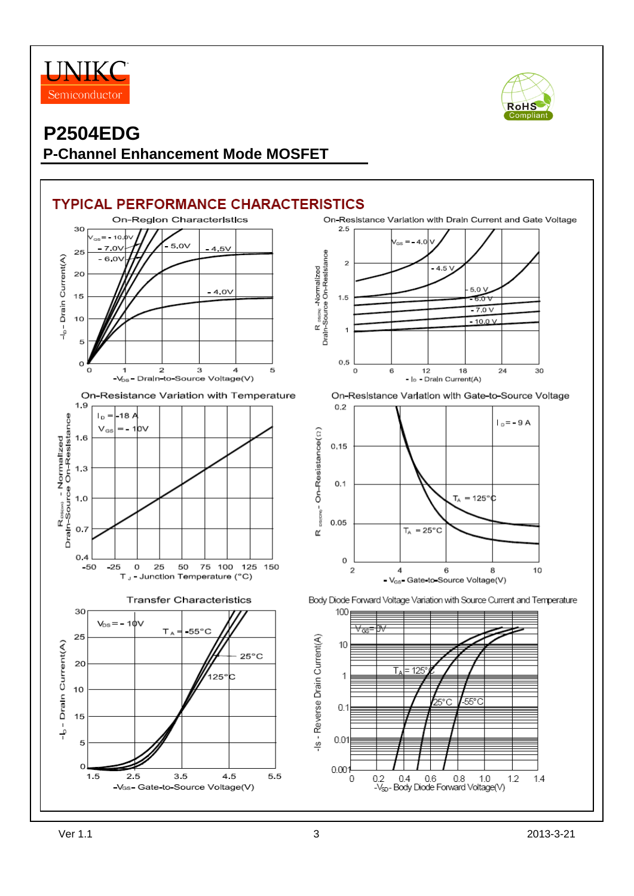



## **P2504EDG P-Channel Enhancement Mode MOSFET**

#### **TYPICAL PERFORMANCE CHARACTERISTICS** On-Region Characteristics On-Resistance Variation with Drain Current and Gate Voltage  $2.5$ 30  $10<sub>cm</sub> = -10<sub>g</sub>$  $\overline{A}$  $5.0V$  $-7.0V$  $4.5V$ 25 R <sub>ascw,</sub> Normalized<br>Drain-Source On-Resistance Drain Current(A)  $-6.0V$  $\overline{a}$  $4.5<sub>1</sub>$ 20 50  $-4.0V$  $15$  $1.5$  $\widetilde{60}$  $-7.0V$ 10  $-10.0V$ ر<br>ٻ  $\overline{1}$ 5  $0.5$  $\Omega$  $\Omega$ 1  $\overline{\mathbf{2}}$ 3  $\overline{4}$ 5  $\overline{0}$  $_{\rm 6}$  $12$ 18 24 30 -V<sub>DS</sub>- Drain-to-Source Voltage(V) - lo - Drain Current(A) On-Resistance Variation with Temperature On-Resistance Variation with Gate-to-Source Voltage 1.9  $0.2$ م 18–أ= R<sub>osem</sub> - Normalized<br>Drain-Source On-Resistance Īв  $I_D = -9A$  $=$  - 1 $\mathsf{hv}$  $V_{GS}$ DELON-On-Resistance(C) 1.6  $0.15$  $1.3$  $0.1$  $1.0$  $T_A = 125^\circ \text{C}$  $0.05$  $0.7$  $T_A = 25^{\circ}C$ œ  $0.4$ 0  $-50$  $-25$  $\mathbf 0$ 25 50 75 100 125 150  $\overline{2}$  $10$  $\overline{4}$ 6 8 T., - Junction Temperature (°C) - V<sub>GS</sub>- Gate-to-Source Voltage(V) **Transfer Characteristics** Body Diode Forward Voltage Variation with Source Current and Temperature 30 100  $V_{DS} = -10V$  $-55^{\circ}$ C  $T_A =$ 25 -Is - Reverse Drain Current(A) Drain Current(A) 10  $25^{\circ}$ C 20  $\overline{\mathsf{T}}$  $12<sub>1</sub>$ 1 125° $c$ 10  $0.1$ 15  $\frac{1}{1}$  $0.01$ 5  $\Omega$  $0.001$  $1.5$ 3.5 4.5 5.5 2.5  $0.6$  $0.4$ 0  $0.2$  $0.8$ 1.0  $1.2$  $1.4$ -V<sub>GS</sub>- Gate-to-Source Voltage(V) -V<sub>sp</sub>- Body Diode Forward Voltage(V)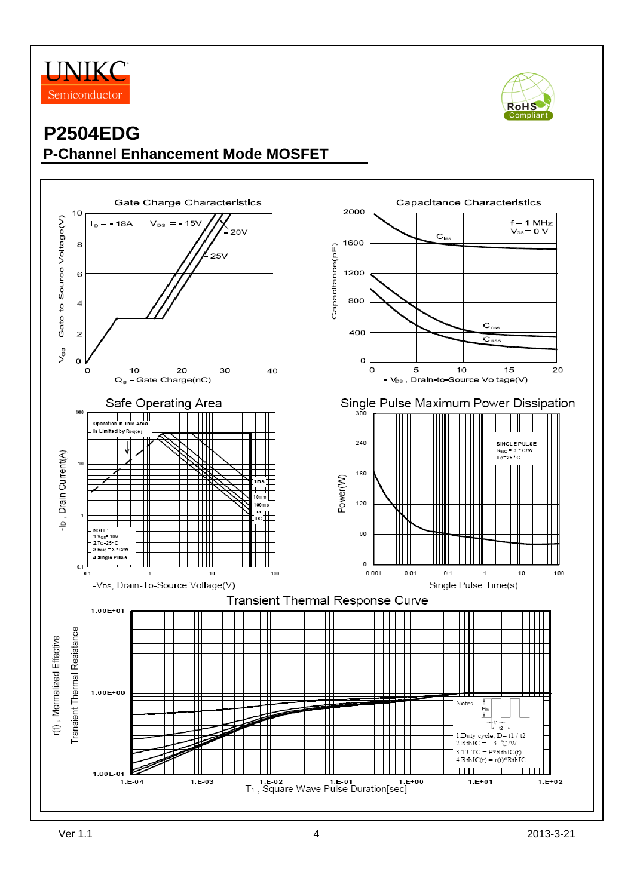



## **P2504EDG P-Channel Enhancement Mode MOSFET**